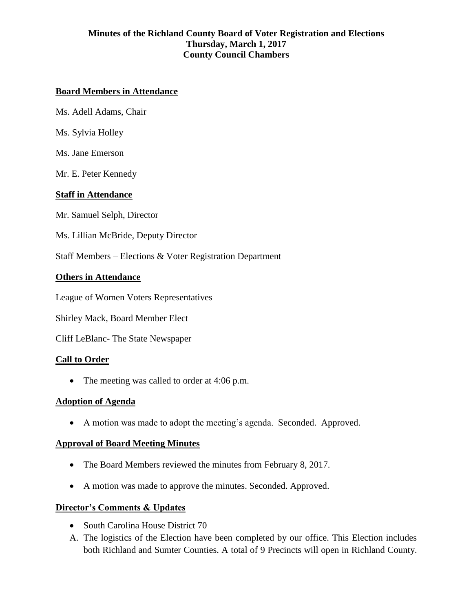## **Board Members in Attendance**

Ms. Adell Adams, Chair

Ms. Sylvia Holley

Ms. Jane Emerson

Mr. E. Peter Kennedy

### **Staff in Attendance**

Mr. Samuel Selph, Director

Ms. Lillian McBride, Deputy Director

Staff Members – Elections & Voter Registration Department

### **Others in Attendance**

League of Women Voters Representatives

Shirley Mack, Board Member Elect

Cliff LeBlanc- The State Newspaper

#### **Call to Order**

• The meeting was called to order at 4:06 p.m.

#### **Adoption of Agenda**

A motion was made to adopt the meeting's agenda. Seconded. Approved.

#### **Approval of Board Meeting Minutes**

- The Board Members reviewed the minutes from February 8, 2017.
- A motion was made to approve the minutes. Seconded. Approved.

#### **Director's Comments & Updates**

- South Carolina House District 70
- A. The logistics of the Election have been completed by our office. This Election includes both Richland and Sumter Counties. A total of 9 Precincts will open in Richland County.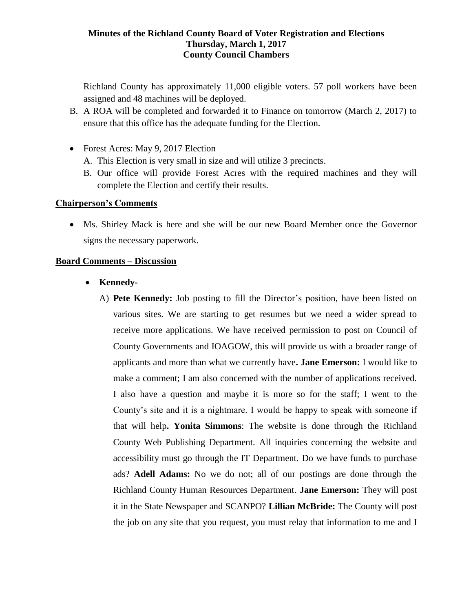Richland County has approximately 11,000 eligible voters. 57 poll workers have been assigned and 48 machines will be deployed.

- B. A ROA will be completed and forwarded it to Finance on tomorrow (March 2, 2017) to ensure that this office has the adequate funding for the Election.
- Forest Acres: May 9, 2017 Election
	- A. This Election is very small in size and will utilize 3 precincts.
	- B. Our office will provide Forest Acres with the required machines and they will complete the Election and certify their results.

### **Chairperson's Comments**

 Ms. Shirley Mack is here and she will be our new Board Member once the Governor signs the necessary paperwork.

### **Board Comments – Discussion**

- Kennedy-
	- A) **Pete Kennedy:** Job posting to fill the Director's position, have been listed on various sites. We are starting to get resumes but we need a wider spread to receive more applications. We have received permission to post on Council of County Governments and IOAGOW, this will provide us with a broader range of applicants and more than what we currently have**. Jane Emerson:** I would like to make a comment; I am also concerned with the number of applications received. I also have a question and maybe it is more so for the staff; I went to the County's site and it is a nightmare. I would be happy to speak with someone if that will help**. Yonita Simmons**: The website is done through the Richland County Web Publishing Department. All inquiries concerning the website and accessibility must go through the IT Department. Do we have funds to purchase ads? **Adell Adams:** No we do not; all of our postings are done through the Richland County Human Resources Department. **Jane Emerson:** They will post it in the State Newspaper and SCANPO? **Lillian McBride:** The County will post the job on any site that you request, you must relay that information to me and I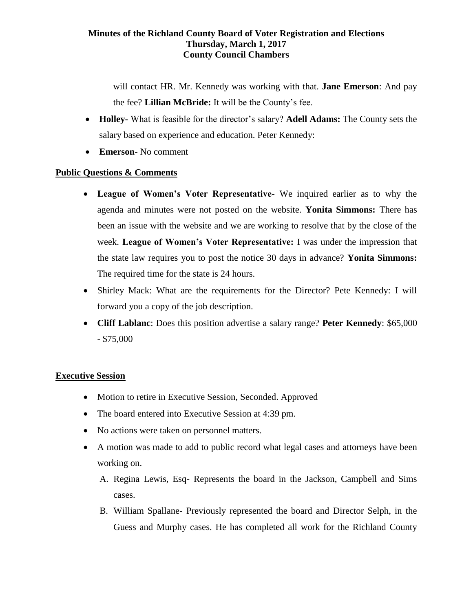will contact HR. Mr. Kennedy was working with that. **Jane Emerson**: And pay the fee? **Lillian McBride:** It will be the County's fee.

- **Holley-** What is feasible for the director's salary? **Adell Adams:** The County sets the salary based on experience and education. Peter Kennedy:
- **Emerson** No comment

### **Public Questions & Comments**

- **League of Women's Voter Representative** We inquired earlier as to why the agenda and minutes were not posted on the website. **Yonita Simmons:** There has been an issue with the website and we are working to resolve that by the close of the week. **League of Women's Voter Representative:** I was under the impression that the state law requires you to post the notice 30 days in advance? **Yonita Simmons:** The required time for the state is 24 hours.
- Shirley Mack: What are the requirements for the Director? Pete Kennedy: I will forward you a copy of the job description.
- **Cliff Lablanc**: Does this position advertise a salary range? **Peter Kennedy**: \$65,000 - \$75,000

#### **Executive Session**

- Motion to retire in Executive Session, Seconded. Approved
- The board entered into Executive Session at 4:39 pm.
- No actions were taken on personnel matters.
- A motion was made to add to public record what legal cases and attorneys have been working on.
	- A. Regina Lewis, Esq- Represents the board in the Jackson, Campbell and Sims cases.
	- B. William Spallane- Previously represented the board and Director Selph, in the Guess and Murphy cases. He has completed all work for the Richland County